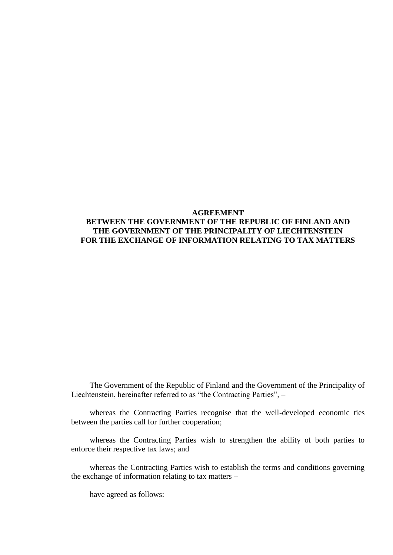# **AGREEMENT BETWEEN THE GOVERNMENT OF THE REPUBLIC OF FINLAND AND THE GOVERNMENT OF THE PRINCIPALITY OF LIECHTENSTEIN FOR THE EXCHANGE OF INFORMATION RELATING TO TAX MATTERS**

The Government of the Republic of Finland and the Government of the Principality of Liechtenstein, hereinafter referred to as "the Contracting Parties", –

whereas the Contracting Parties recognise that the well-developed economic ties between the parties call for further cooperation;

whereas the Contracting Parties wish to strengthen the ability of both parties to enforce their respective tax laws; and

whereas the Contracting Parties wish to establish the terms and conditions governing the exchange of information relating to tax matters –

have agreed as follows: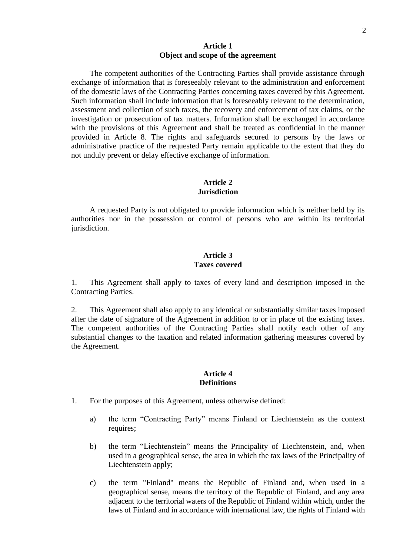### **Article 1 Object and scope of the agreement**

The competent authorities of the Contracting Parties shall provide assistance through exchange of information that is foreseeably relevant to the administration and enforcement of the domestic laws of the Contracting Parties concerning taxes covered by this Agreement. Such information shall include information that is foreseeably relevant to the determination, assessment and collection of such taxes, the recovery and enforcement of tax claims, or the investigation or prosecution of tax matters. Information shall be exchanged in accordance with the provisions of this Agreement and shall be treated as confidential in the manner provided in Article 8. The rights and safeguards secured to persons by the laws or administrative practice of the requested Party remain applicable to the extent that they do not unduly prevent or delay effective exchange of information.

### **Article 2 Jurisdiction**

A requested Party is not obligated to provide information which is neither held by its authorities nor in the possession or control of persons who are within its territorial jurisdiction.

## **Article 3 Taxes covered**

1. This Agreement shall apply to taxes of every kind and description imposed in the Contracting Parties.

2. This Agreement shall also apply to any identical or substantially similar taxes imposed after the date of signature of the Agreement in addition to or in place of the existing taxes. The competent authorities of the Contracting Parties shall notify each other of any substantial changes to the taxation and related information gathering measures covered by the Agreement.

### **Article 4 Definitions**

1. For the purposes of this Agreement, unless otherwise defined:

- a) the term "Contracting Party" means Finland or Liechtenstein as the context requires;
- b) the term "Liechtenstein" means the Principality of Liechtenstein, and, when used in a geographical sense, the area in which the tax laws of the Principality of Liechtenstein apply;
- c) the term "Finland" means the Republic of Finland and, when used in a geographical sense, means the territory of the Republic of Finland, and any area adjacent to the territorial waters of the Republic of Finland within which, under the laws of Finland and in accordance with international law, the rights of Finland with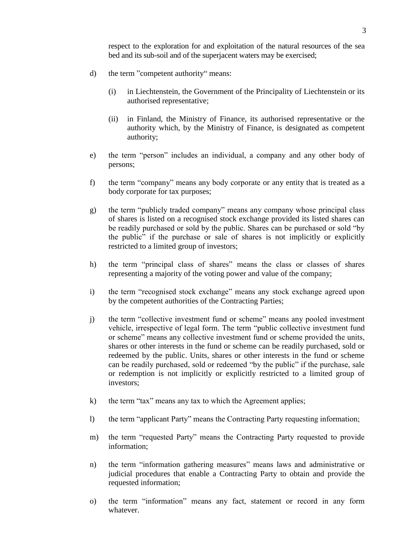respect to the exploration for and exploitation of the natural resources of the sea bed and its sub-soil and of the superjacent waters may be exercised;

- d) the term "competent authority" means:
	- (i) in Liechtenstein, the Government of the Principality of Liechtenstein or its authorised representative;
	- (ii) in Finland, the Ministry of Finance, its authorised representative or the authority which, by the Ministry of Finance, is designated as competent authority;
- e) the term "person" includes an individual, a company and any other body of persons;
- f) the term "company" means any body corporate or any entity that is treated as a body corporate for tax purposes;
- g) the term "publicly traded company" means any company whose principal class of shares is listed on a recognised stock exchange provided its listed shares can be readily purchased or sold by the public. Shares can be purchased or sold "by the public" if the purchase or sale of shares is not implicitly or explicitly restricted to a limited group of investors;
- h) the term "principal class of shares" means the class or classes of shares representing a majority of the voting power and value of the company;
- i) the term "recognised stock exchange" means any stock exchange agreed upon by the competent authorities of the Contracting Parties;
- j) the term "collective investment fund or scheme" means any pooled investment vehicle, irrespective of legal form. The term "public collective investment fund or scheme" means any collective investment fund or scheme provided the units, shares or other interests in the fund or scheme can be readily purchased, sold or redeemed by the public. Units, shares or other interests in the fund or scheme can be readily purchased, sold or redeemed "by the public" if the purchase, sale or redemption is not implicitly or explicitly restricted to a limited group of investors;
- k) the term "tax" means any tax to which the Agreement applies;
- l) the term "applicant Party" means the Contracting Party requesting information;
- m) the term "requested Party" means the Contracting Party requested to provide information;
- n) the term "information gathering measures" means laws and administrative or judicial procedures that enable a Contracting Party to obtain and provide the requested information;
- o) the term "information" means any fact, statement or record in any form whatever.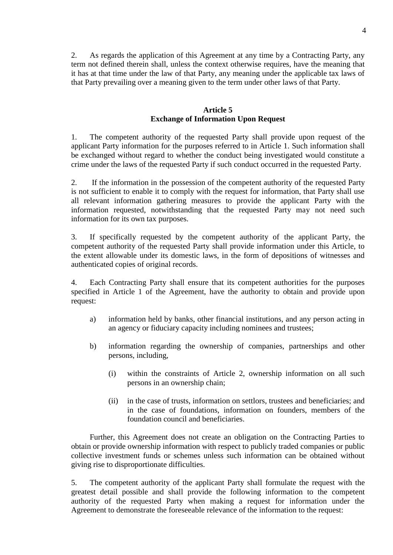2. As regards the application of this Agreement at any time by a Contracting Party, any term not defined therein shall, unless the context otherwise requires, have the meaning that it has at that time under the law of that Party, any meaning under the applicable tax laws of that Party prevailing over a meaning given to the term under other laws of that Party.

### **Article 5 Exchange of Information Upon Request**

1. The competent authority of the requested Party shall provide upon request of the applicant Party information for the purposes referred to in Article 1. Such information shall be exchanged without regard to whether the conduct being investigated would constitute a crime under the laws of the requested Party if such conduct occurred in the requested Party.

2. If the information in the possession of the competent authority of the requested Party is not sufficient to enable it to comply with the request for information, that Party shall use all relevant information gathering measures to provide the applicant Party with the information requested, notwithstanding that the requested Party may not need such information for its own tax purposes.

3. If specifically requested by the competent authority of the applicant Party, the competent authority of the requested Party shall provide information under this Article, to the extent allowable under its domestic laws, in the form of depositions of witnesses and authenticated copies of original records.

4. Each Contracting Party shall ensure that its competent authorities for the purposes specified in Article 1 of the Agreement, have the authority to obtain and provide upon request:

- a) information held by banks, other financial institutions, and any person acting in an agency or fiduciary capacity including nominees and trustees;
- b) information regarding the ownership of companies, partnerships and other persons, including,
	- (i) within the constraints of Article 2, ownership information on all such persons in an ownership chain;
	- (ii) in the case of trusts, information on settlors, trustees and beneficiaries; and in the case of foundations, information on founders, members of the foundation council and beneficiaries.

Further, this Agreement does not create an obligation on the Contracting Parties to obtain or provide ownership information with respect to publicly traded companies or public collective investment funds or schemes unless such information can be obtained without giving rise to disproportionate difficulties.

5. The competent authority of the applicant Party shall formulate the request with the greatest detail possible and shall provide the following information to the competent authority of the requested Party when making a request for information under the Agreement to demonstrate the foreseeable relevance of the information to the request: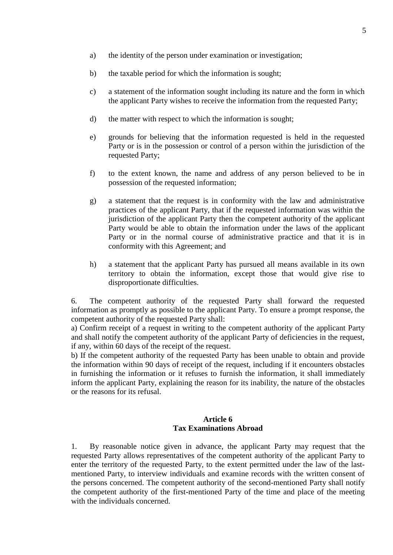- a) the identity of the person under examination or investigation;
- b) the taxable period for which the information is sought;
- c) a statement of the information sought including its nature and the form in which the applicant Party wishes to receive the information from the requested Party;
- d) the matter with respect to which the information is sought;
- e) grounds for believing that the information requested is held in the requested Party or is in the possession or control of a person within the jurisdiction of the requested Party;
- f) to the extent known, the name and address of any person believed to be in possession of the requested information;
- g) a statement that the request is in conformity with the law and administrative practices of the applicant Party, that if the requested information was within the jurisdiction of the applicant Party then the competent authority of the applicant Party would be able to obtain the information under the laws of the applicant Party or in the normal course of administrative practice and that it is in conformity with this Agreement; and
- h) a statement that the applicant Party has pursued all means available in its own territory to obtain the information, except those that would give rise to disproportionate difficulties.

6. The competent authority of the requested Party shall forward the requested information as promptly as possible to the applicant Party. To ensure a prompt response, the competent authority of the requested Party shall:

a) Confirm receipt of a request in writing to the competent authority of the applicant Party and shall notify the competent authority of the applicant Party of deficiencies in the request, if any, within 60 days of the receipt of the request.

b) If the competent authority of the requested Party has been unable to obtain and provide the information within 90 days of receipt of the request, including if it encounters obstacles in furnishing the information or it refuses to furnish the information, it shall immediately inform the applicant Party, explaining the reason for its inability, the nature of the obstacles or the reasons for its refusal.

### **Article 6 Tax Examinations Abroad**

1. By reasonable notice given in advance, the applicant Party may request that the requested Party allows representatives of the competent authority of the applicant Party to enter the territory of the requested Party, to the extent permitted under the law of the lastmentioned Party, to interview individuals and examine records with the written consent of the persons concerned. The competent authority of the second-mentioned Party shall notify the competent authority of the first-mentioned Party of the time and place of the meeting with the individuals concerned.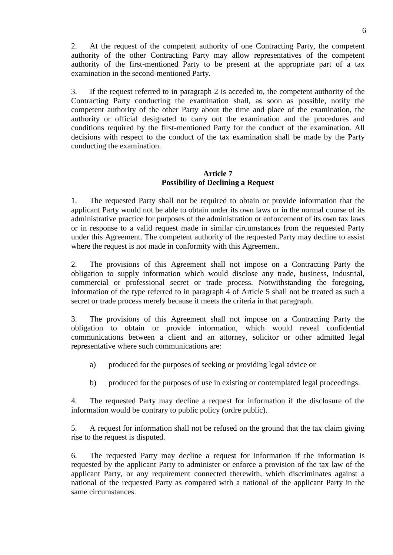2. At the request of the competent authority of one Contracting Party, the competent authority of the other Contracting Party may allow representatives of the competent authority of the first-mentioned Party to be present at the appropriate part of a tax examination in the second-mentioned Party.

3. If the request referred to in paragraph 2 is acceded to, the competent authority of the Contracting Party conducting the examination shall, as soon as possible, notify the competent authority of the other Party about the time and place of the examination, the authority or official designated to carry out the examination and the procedures and conditions required by the first-mentioned Party for the conduct of the examination. All decisions with respect to the conduct of the tax examination shall be made by the Party conducting the examination.

# **Article 7 Possibility of Declining a Request**

1. The requested Party shall not be required to obtain or provide information that the applicant Party would not be able to obtain under its own laws or in the normal course of its administrative practice for purposes of the administration or enforcement of its own tax laws or in response to a valid request made in similar circumstances from the requested Party under this Agreement. The competent authority of the requested Party may decline to assist where the request is not made in conformity with this Agreement.

2. The provisions of this Agreement shall not impose on a Contracting Party the obligation to supply information which would disclose any trade, business, industrial, commercial or professional secret or trade process. Notwithstanding the foregoing, information of the type referred to in paragraph 4 of Article 5 shall not be treated as such a secret or trade process merely because it meets the criteria in that paragraph.

3. The provisions of this Agreement shall not impose on a Contracting Party the obligation to obtain or provide information, which would reveal confidential communications between a client and an attorney, solicitor or other admitted legal representative where such communications are:

- a) produced for the purposes of seeking or providing legal advice or
- b) produced for the purposes of use in existing or contemplated legal proceedings.

4. The requested Party may decline a request for information if the disclosure of the information would be contrary to public policy (ordre public).

5. A request for information shall not be refused on the ground that the tax claim giving rise to the request is disputed.

6. The requested Party may decline a request for information if the information is requested by the applicant Party to administer or enforce a provision of the tax law of the applicant Party, or any requirement connected therewith, which discriminates against a national of the requested Party as compared with a national of the applicant Party in the same circumstances.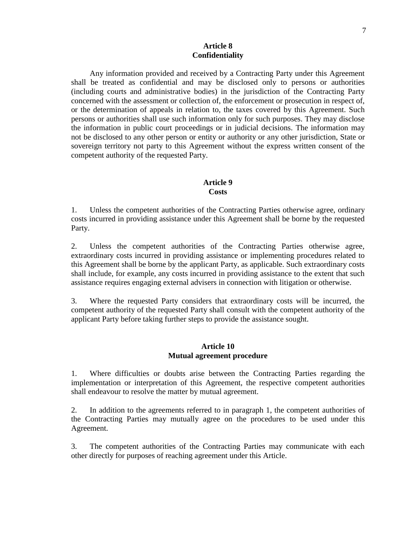#### **Article 8 Confidentiality**

Any information provided and received by a Contracting Party under this Agreement shall be treated as confidential and may be disclosed only to persons or authorities (including courts and administrative bodies) in the jurisdiction of the Contracting Party concerned with the assessment or collection of, the enforcement or prosecution in respect of, or the determination of appeals in relation to, the taxes covered by this Agreement. Such persons or authorities shall use such information only for such purposes. They may disclose the information in public court proceedings or in judicial decisions. The information may not be disclosed to any other person or entity or authority or any other jurisdiction, State or sovereign territory not party to this Agreement without the express written consent of the competent authority of the requested Party.

#### **Article 9 Costs**

1. Unless the competent authorities of the Contracting Parties otherwise agree, ordinary costs incurred in providing assistance under this Agreement shall be borne by the requested Party.

2. Unless the competent authorities of the Contracting Parties otherwise agree, extraordinary costs incurred in providing assistance or implementing procedures related to this Agreement shall be borne by the applicant Party, as applicable. Such extraordinary costs shall include, for example, any costs incurred in providing assistance to the extent that such assistance requires engaging external advisers in connection with litigation or otherwise.

3. Where the requested Party considers that extraordinary costs will be incurred, the competent authority of the requested Party shall consult with the competent authority of the applicant Party before taking further steps to provide the assistance sought.

# **Article 10 Mutual agreement procedure**

1. Where difficulties or doubts arise between the Contracting Parties regarding the implementation or interpretation of this Agreement, the respective competent authorities shall endeavour to resolve the matter by mutual agreement.

2. In addition to the agreements referred to in paragraph 1, the competent authorities of the Contracting Parties may mutually agree on the procedures to be used under this Agreement.

3. The competent authorities of the Contracting Parties may communicate with each other directly for purposes of reaching agreement under this Article.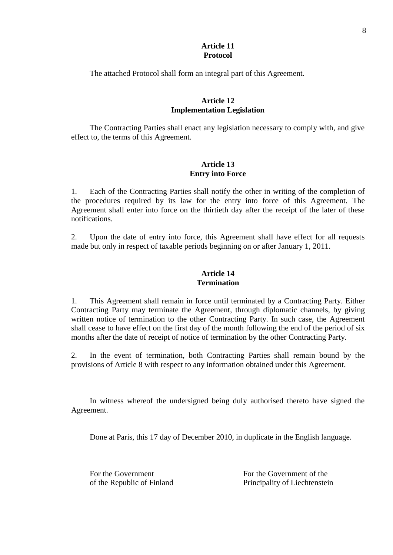#### **Article 11 Protocol**

The attached Protocol shall form an integral part of this Agreement.

# **Article 12 Implementation Legislation**

The Contracting Parties shall enact any legislation necessary to comply with, and give effect to, the terms of this Agreement.

### **Article 13 Entry into Force**

1. Each of the Contracting Parties shall notify the other in writing of the completion of the procedures required by its law for the entry into force of this Agreement. The Agreement shall enter into force on the thirtieth day after the receipt of the later of these notifications.

2. Upon the date of entry into force, this Agreement shall have effect for all requests made but only in respect of taxable periods beginning on or after January 1, 2011.

### **Article 14 Termination**

1. This Agreement shall remain in force until terminated by a Contracting Party. Either Contracting Party may terminate the Agreement, through diplomatic channels, by giving written notice of termination to the other Contracting Party. In such case, the Agreement shall cease to have effect on the first day of the month following the end of the period of six months after the date of receipt of notice of termination by the other Contracting Party.

2. In the event of termination, both Contracting Parties shall remain bound by the provisions of Article 8 with respect to any information obtained under this Agreement.

In witness whereof the undersigned being duly authorised thereto have signed the Agreement.

Done at Paris, this 17 day of December 2010, in duplicate in the English language.

For the Government For the Government of the Government of the Forme of the Forme of the Forme of the Forme of the Forme of the Forme of the Forme of the Forme of the Forme of the Forme of the Forme of the Forme of the For of the Republic of Finland Principality of Liechtenstein